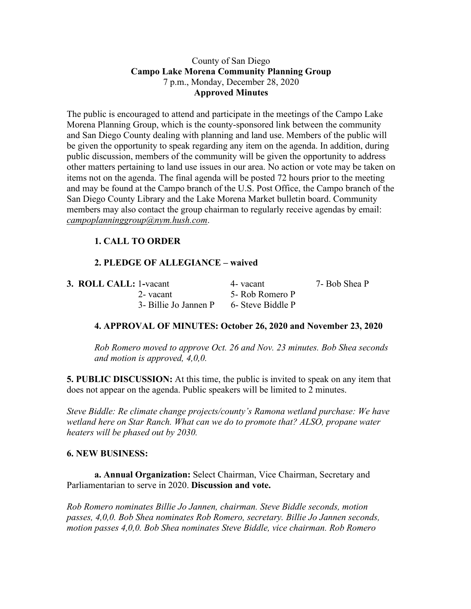## County of San Diego **Campo Lake Morena Community Planning Group** 7 p.m., Monday, December 28, 2020 **Approved Minutes**

The public is encouraged to attend and participate in the meetings of the Campo Lake Morena Planning Group, which is the county-sponsored link between the community and San Diego County dealing with planning and land use. Members of the public will be given the opportunity to speak regarding any item on the agenda. In addition, during public discussion, members of the community will be given the opportunity to address other matters pertaining to land use issues in our area. No action or vote may be taken on items not on the agenda. The final agenda will be posted 72 hours prior to the meeting and may be found at the Campo branch of the U.S. Post Office, the Campo branch of the San Diego County Library and the Lake Morena Market bulletin board. Community members may also contact the group chairman to regularly receive agendas by email: *campoplanninggroup@nym.hush.com*.

# **1. CALL TO ORDER**

## **2. PLEDGE OF ALLEGIANCE – waived**

| <b>3. ROLL CALL: 1-vacant</b> | 4 - vacant        | 7- Bob Shea P |
|-------------------------------|-------------------|---------------|
| 2- vacant                     | 5- Rob Romero P   |               |
| 3- Billie Jo Jannen P         | 6- Steve Biddle P |               |

## **4. APPROVAL OF MINUTES: October 26, 2020 and November 23, 2020**

*Rob Romero moved to approve Oct. 26 and Nov. 23 minutes. Bob Shea seconds and motion is approved, 4,0,0.*

**5. PUBLIC DISCUSSION:** At this time, the public is invited to speak on any item that does not appear on the agenda. Public speakers will be limited to 2 minutes.

*Steve Biddle: Re climate change projects/county's Ramona wetland purchase: We have wetland here on Star Ranch. What can we do to promote that? ALSO, propane water heaters will be phased out by 2030.*

#### **6. NEW BUSINESS:**

**a. Annual Organization:** Select Chairman, Vice Chairman, Secretary and Parliamentarian to serve in 2020. **Discussion and vote.**

*Rob Romero nominates Billie Jo Jannen, chairman. Steve Biddle seconds, motion passes, 4,0,0. Bob Shea nominates Rob Romero, secretary. Billie Jo Jannen seconds, motion passes 4,0,0. Bob Shea nominates Steve Biddle, vice chairman. Rob Romero*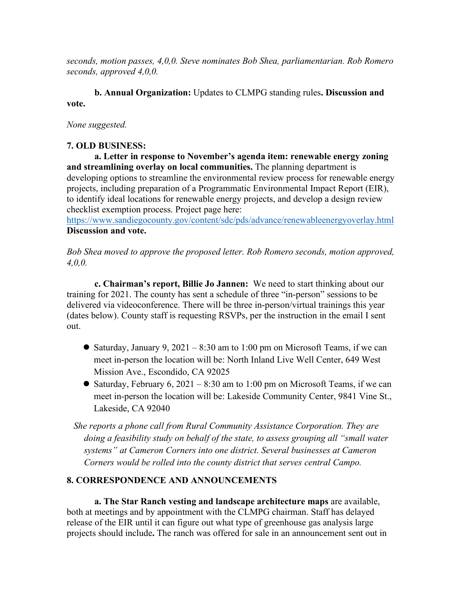*seconds, motion passes, 4,0,0. Steve nominates Bob Shea, parliamentarian. Rob Romero seconds, approved 4,0,0.*

**b. Annual Organization:** Updates to CLMPG standing rules**. Discussion and vote.**

## *None suggested.*

## **7. OLD BUSINESS:**

**a. Letter in response to November's agenda item: renewable energy zoning and streamlining overlay on local communities.** The planning department is developing options to streamline the environmental review process for renewable energy projects, including preparation of a Programmatic Environmental Impact Report (EIR), to identify ideal locations for renewable energy projects, and develop a design review checklist exemption process. Project page here:

https://www.sandiegocounty.gov/content/sdc/pds/advance/renewableenergyoverlay.html **Discussion and vote.**

*Bob Shea moved to approve the proposed letter. Rob Romero seconds, motion approved, 4,0,0.*

**c. Chairman's report, Billie Jo Jannen:** We need to start thinking about our training for 2021. The county has sent a schedule of three "in-person" sessions to be delivered via videoconference. There will be three in-person/virtual trainings this year (dates below). County staff is requesting RSVPs, per the instruction in the email I sent out.

- Saturday, January 9, 2021 8:30 am to 1:00 pm on Microsoft Teams, if we can meet in-person the location will be: North Inland Live Well Center, 649 West Mission Ave., Escondido, CA 92025
- Saturday, February 6, 2021 8:30 am to 1:00 pm on Microsoft Teams, if we can meet in-person the location will be: Lakeside Community Center, 9841 Vine St., Lakeside, CA 92040
- *She reports a phone call from Rural Community Assistance Corporation. They are doing a feasibility study on behalf of the state, to assess grouping all "small water systems" at Cameron Corners into one district. Several businesses at Cameron Corners would be rolled into the county district that serves central Campo.*

## **8. CORRESPONDENCE AND ANNOUNCEMENTS**

**a. The Star Ranch vesting and landscape architecture maps** are available, both at meetings and by appointment with the CLMPG chairman. Staff has delayed release of the EIR until it can figure out what type of greenhouse gas analysis large projects should include**.** The ranch was offered for sale in an announcement sent out in